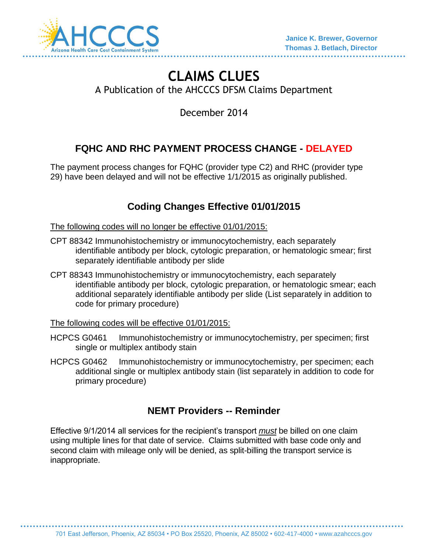

# **CLAIMS CLUES** A Publication of the AHCCCS DFSM Claims Department

December 2014

# **FQHC AND RHC PAYMENT PROCESS CHANGE - DELAYED**

The payment process changes for FQHC (provider type C2) and RHC (provider type 29) have been delayed and will not be effective 1/1/2015 as originally published.

# **Coding Changes Effective 01/01/2015**

The following codes will no longer be effective 01/01/2015:

- CPT 88342 Immunohistochemistry or immunocytochemistry, each separately identifiable antibody per block, cytologic preparation, or hematologic smear; first separately identifiable antibody per slide
- CPT 88343 Immunohistochemistry or immunocytochemistry, each separately identifiable antibody per block, cytologic preparation, or hematologic smear; each additional separately identifiable antibody per slide (List separately in addition to code for primary procedure)

The following codes will be effective 01/01/2015:

- HCPCS G0461 Immunohistochemistry or immunocytochemistry, per specimen; first single or multiplex antibody stain
- HCPCS G0462 Immunohistochemistry or immunocytochemistry, per specimen; each additional single or multiplex antibody stain (list separately in addition to code for primary procedure)

## **NEMT Providers -- Reminder**

Effective 9/1/2014 all services for the recipient's transport *must* be billed on one claim using multiple lines for that date of service. Claims submitted with base code only and second claim with mileage only will be denied, as split-billing the transport service is inappropriate.